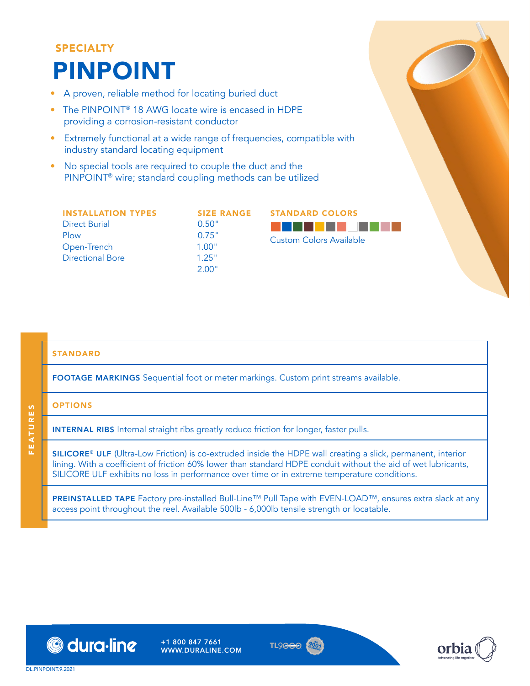# SPECIALTY PINPOINT

- A proven, reliable method for locating buried duct
- The PINPOINT<sup>®</sup> 18 AWG locate wire is encased in HDPE providing a corrosion-resistant conductor
- Extremely functional at a wide range of frequencies, compatible with industry standard locating equipment
- No special tools are required to couple the duct and the PINPOINT® wire; standard coupling methods can be utilized

| <b>INSTALLATION TYPES</b> | <b>SIZE RANGE</b> | <b>STANDARD COLORS</b>  |  |  |  |
|---------------------------|-------------------|-------------------------|--|--|--|
| Direct Burial<br>Plow     | 0.50"<br>0.75"    | Custom Colors Available |  |  |  |
| Open-Trench               | 1.00"             |                         |  |  |  |
| <b>Directional Bore</b>   | 1.25"<br>2.00"    |                         |  |  |  |
|                           |                   |                         |  |  |  |

### STANDARD

FOOTAGE MARKINGS Sequential foot or meter markings. Custom print streams available.

### **OPTIONS**

FEATURES

**FEATURES** 

INTERNAL RIBS Internal straight ribs greatly reduce friction for longer, faster pulls.

SILICORE® ULF (Ultra-Low Friction) is co-extruded inside the HDPE wall creating a slick, permanent, interior lining. With a coefficient of friction 60% lower than standard HDPE conduit without the aid of wet lubricants, SILICORE ULF exhibits no loss in performance over time or in extreme temperature conditions.

PREINSTALLED TAPE Factory pre-installed Bull-Line™ Pull Tape with EVEN-LOAD™, ensures extra slack at any access point throughout the reel. Available 500lb - 6,000lb tensile strength or locatable.



+1 800 847 7661 WWW.DURALINE.COM